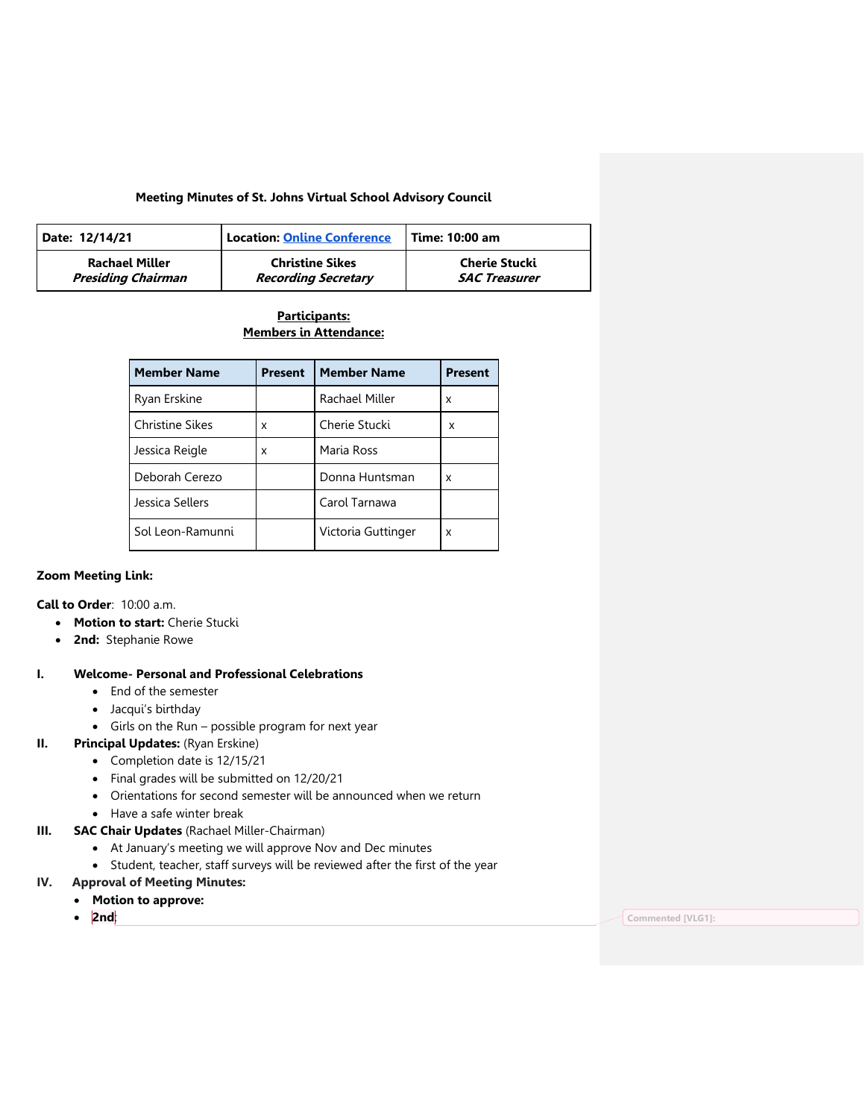#### **Meeting Minutes of St. Johns Virtual School Advisory Council**

| Date: 12/14/21        | <b>Location: Online Conference</b> | Time: 10:00 am       |
|-----------------------|------------------------------------|----------------------|
| <b>Rachael Miller</b> | <b>Christine Sikes</b>             | Cherie Stucki        |
| Presiding Chairman    | <b>Recording Secretary</b>         | <b>SAC Treasurer</b> |

# **Participants: Members in Attendance:**

| <b>Member Name</b>     | <b>Present</b> | <b>Member Name</b> | <b>Present</b> |
|------------------------|----------------|--------------------|----------------|
| Ryan Erskine           |                | Rachael Miller     | x              |
| <b>Christine Sikes</b> | x              | Cherie Stucki      | x              |
| Jessica Reigle         | X              | Maria Ross         |                |
| Deborah Cerezo         |                | Donna Huntsman     | x              |
| Jessica Sellers        |                | Carol Tarnawa      |                |
| Sol Leon-Ramunni       |                | Victoria Guttinger | x              |

#### **Zoom Meeting Link:**

**Call to Order**: 10:00 a.m.

- **Motion to start:** Cherie Stucki
- **2nd:** Stephanie Rowe

# **I. Welcome- Personal and Professional Celebrations**

- End of the semester
- Jacqui's birthday
- Girls on the Run possible program for next year

# **II. Principal Updates:** (Ryan Erskine)

- Completion date is 12/15/21
- Final grades will be submitted on 12/20/21
- Orientations for second semester will be announced when we return
- Have a safe winter break
- **III. SAC Chair Updates** (Rachael Miller-Chairman)
	- At January's meeting we will approve Nov and Dec minutes
	- Student, teacher, staff surveys will be reviewed after the first of the year
- **IV. Approval of Meeting Minutes:**
	- **Motion to approve:**
		-

• **2nd**: **Commented [VLG1]:**